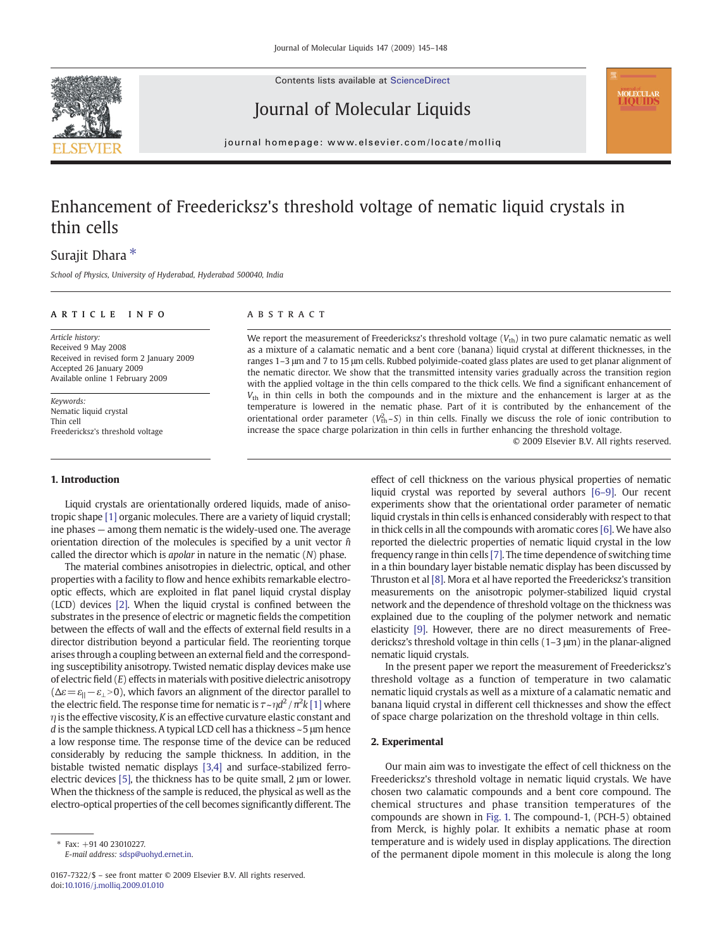Contents lists available at ScienceDirect



Journal of Molecular Liquids



journal homepage: www.elsevier.com/locate/molliq

# Enhancement of Freedericksz's threshold voltage of nematic liquid crystals in thin cells

# Surajit Dhara  $*$

School of Physics, University of Hyderabad, Hyderabad 500040, India

## ARTICLE INFO ABSTRACT

Article history: Received 9 May 2008 Received in revised form 2 January 2009 Accepted 26 January 2009 Available online 1 February 2009

Keywords: Nematic liquid crystal Thin cell Freedericksz's threshold voltage

#### 1. Introduction

Liquid crystals are orientationally ordered liquids, made of anisotropic shape [\[1\]](#page-3-0) organic molecules. There are a variety of liquid crystall; ine phases — among them nematic is the widely-used one. The average orientation direction of the molecules is specified by a unit vector  $\hat{n}$ called the director which is *apolar* in nature in the nematic  $(N)$  phase.

The material combines anisotropies in dielectric, optical, and other properties with a facility to flow and hence exhibits remarkable electrooptic effects, which are exploited in flat panel liquid crystal display (LCD) devices [\[2\].](#page-3-0) When the liquid crystal is confined between the substrates in the presence of electric or magnetic fields the competition between the effects of wall and the effects of external field results in a director distribution beyond a particular field. The reorienting torque arises through a coupling between an external field and the corresponding susceptibility anisotropy. Twisted nematic display devices make use of electric field  $(E)$  effects in materials with positive dielectric anisotropy  $(\Delta \varepsilon = \varepsilon_{\parallel} - \varepsilon_{\perp} > 0)$ , which favors an alignment of the director parallel to the electric field. The response time for nematic is  $\tau$ ~ $\eta d^2/\pi^2 k$  [\[1\]](#page-3-0) where  $\eta$  is the effective viscosity, K is an effective curvature elastic constant and d is the sample thickness. A typical LCD cell has a thickness ~5 μm hence a low response time. The response time of the device can be reduced considerably by reducing the sample thickness. In addition, in the bistable twisted nematic displays [\[3,4\]](#page-3-0) and surface-stabilized ferroelectric devices [\[5\]](#page-3-0), the thickness has to be quite small, 2 μm or lower. When the thickness of the sample is reduced, the physical as well as the electro-optical properties of the cell becomes significantly different. The

We report the measurement of Freedericksz's threshold voltage  $(V_{\text{th}})$  in two pure calamatic nematic as well as a mixture of a calamatic nematic and a bent core (banana) liquid crystal at different thicknesses, in the ranges 1–3 μm and 7 to 15 μm cells. Rubbed polyimide-coated glass plates are used to get planar alignment of the nematic director. We show that the transmitted intensity varies gradually across the transition region with the applied voltage in the thin cells compared to the thick cells. We find a significant enhancement of  $V_{\text{th}}$  in thin cells in both the compounds and in the mixture and the enhancement is larger at as the temperature is lowered in the nematic phase. Part of it is contributed by the enhancement of the orientational order parameter ( $V_{\text{th}}^2$ -S) in thin cells. Finally we discuss the role of ionic contribution to increase the space charge polarization in thin cells in further enhancing the threshold voltage.

© 2009 Elsevier B.V. All rights reserved.

effect of cell thickness on the various physical properties of nematic liquid crystal was reported by several authors [6–[9\].](#page-3-0) Our recent experiments show that the orientational order parameter of nematic liquid crystals in thin cells is enhanced considerably with respect to that in thick cells in all the compounds with aromatic cores [\[6\]](#page-3-0). We have also reported the dielectric properties of nematic liquid crystal in the low frequency range in thin cells [\[7\]](#page-3-0). The time dependence of switching time in a thin boundary layer bistable nematic display has been discussed by Thruston et al [\[8\].](#page-3-0) Mora et al have reported the Freedericksz's transition measurements on the anisotropic polymer-stabilized liquid crystal network and the dependence of threshold voltage on the thickness was explained due to the coupling of the polymer network and nematic elasticity [\[9\]](#page-3-0). However, there are no direct measurements of Freedericksz's threshold voltage in thin cells (1–3 μm) in the planar-aligned nematic liquid crystals.

In the present paper we report the measurement of Freedericksz's threshold voltage as a function of temperature in two calamatic nematic liquid crystals as well as a mixture of a calamatic nematic and banana liquid crystal in different cell thicknesses and show the effect of space charge polarization on the threshold voltage in thin cells.

#### 2. Experimental

Our main aim was to investigate the effect of cell thickness on the Freedericksz's threshold voltage in nematic liquid crystals. We have chosen two calamatic compounds and a bent core compound. The chemical structures and phase transition temperatures of the compounds are shown in [Fig. 1.](#page-1-0) The compound-1, (PCH-5) obtained from Merck, is highly polar. It exhibits a nematic phase at room temperature and is widely used in display applications. The direction of the permanent dipole moment in this molecule is along the long

<sup>⁎</sup> Fax: +91 40 23010227. E-mail address: [sdsp@uohyd.ernet.in](mailto:sdsp@uohyd.ernet.in).

<sup>0167-7322/\$</sup> – see front matter © 2009 Elsevier B.V. All rights reserved. doi:[10.1016/j.molliq.2009.01.010](http://dx.doi.org/10.1016/j.molliq.2009.01.010)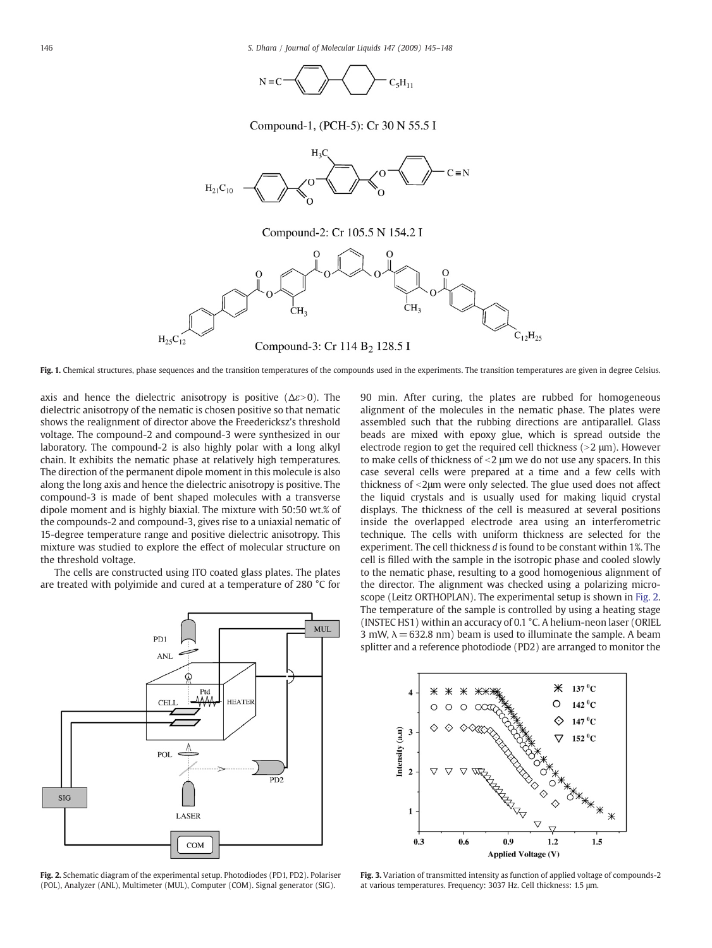

Compound-1, (PCH-5): Cr 30 N 55.5 I

<span id="page-1-0"></span>

Fig. 1. Chemical structures, phase sequences and the transition temperatures of the compounds used in the experiments. The transition temperatures are given in degree Celsius.

axis and hence the dielectric anisotropy is positive ( $\Delta \varepsilon > 0$ ). The dielectric anisotropy of the nematic is chosen positive so that nematic shows the realignment of director above the Freedericksz's threshold voltage. The compound-2 and compound-3 were synthesized in our laboratory. The compound-2 is also highly polar with a long alkyl chain. It exhibits the nematic phase at relatively high temperatures. The direction of the permanent dipole moment in this molecule is also along the long axis and hence the dielectric anisotropy is positive. The compound-3 is made of bent shaped molecules with a transverse dipole moment and is highly biaxial. The mixture with 50:50 wt.% of the compounds-2 and compound-3, gives rise to a uniaxial nematic of 15-degree temperature range and positive dielectric anisotropy. This mixture was studied to explore the effect of molecular structure on the threshold voltage.

The cells are constructed using ITO coated glass plates. The plates are treated with polyimide and cured at a temperature of 280 °C for



Fig. 2. Schematic diagram of the experimental setup. Photodiodes (PD1, PD2). Polariser (POL), Analyzer (ANL), Multimeter (MUL), Computer (COM). Signal generator (SIG).

90 min. After curing, the plates are rubbed for homogeneous alignment of the molecules in the nematic phase. The plates were assembled such that the rubbing directions are antiparallel. Glass beads are mixed with epoxy glue, which is spread outside the electrode region to get the required cell thickness  $(>2 \mu m)$ . However to make cells of thickness of  $\leq$   $2 \mu$ m we do not use any spacers. In this case several cells were prepared at a time and a few cells with thickness of <2μm were only selected. The glue used does not affect the liquid crystals and is usually used for making liquid crystal displays. The thickness of the cell is measured at several positions inside the overlapped electrode area using an interferometric technique. The cells with uniform thickness are selected for the experiment. The cell thickness d is found to be constant within 1%. The cell is filled with the sample in the isotropic phase and cooled slowly to the nematic phase, resulting to a good homogenious alignment of the director. The alignment was checked using a polarizing microscope (Leitz ORTHOPLAN). The experimental setup is shown in Fig. 2. The temperature of the sample is controlled by using a heating stage (INSTEC HS1) within an accuracy of 0.1 °C. A helium-neon laser (ORIEL 3 mW,  $\lambda$  = 632.8 nm) beam is used to illuminate the sample. A beam splitter and a reference photodiode (PD2) are arranged to monitor the



Fig. 3. Variation of transmitted intensity as function of applied voltage of compounds-2 at various temperatures. Frequency: 3037 Hz. Cell thickness: 1.5 μm.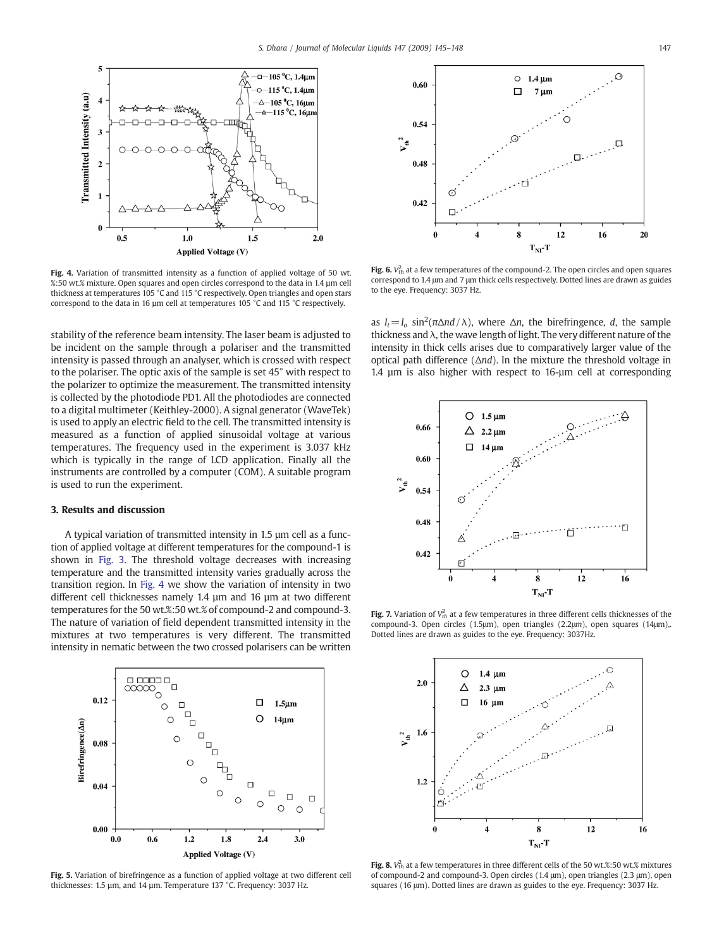<span id="page-2-0"></span>

Fig. 4. Variation of transmitted intensity as a function of applied voltage of 50 wt. %:50 wt.% mixture. Open squares and open circles correspond to the data in 1.4 µm cell thickness at temperatures 105 °C and 115 °C respectively. Open triangles and open stars correspond to the data in 16 µm cell at temperatures 105 °C and 115 °C respectively.

stability of the reference beam intensity. The laser beam is adjusted to be incident on the sample through a polariser and the transmitted intensity is passed through an analyser, which is crossed with respect to the polariser. The optic axis of the sample is set 45° with respect to the polarizer to optimize the measurement. The transmitted intensity is collected by the photodiode PD1. All the photodiodes are connected to a digital multimeter (Keithley-2000). A signal generator (WaveTek) is used to apply an electric field to the cell. The transmitted intensity is measured as a function of applied sinusoidal voltage at various temperatures. The frequency used in the experiment is 3.037 kHz which is typically in the range of LCD application. Finally all the instruments are controlled by a computer (COM). A suitable program is used to run the experiment.

#### 3. Results and discussion

A typical variation of transmitted intensity in 1.5 µm cell as a function of applied voltage at different temperatures for the compound-1 is shown in [Fig. 3.](#page-1-0) The threshold voltage decreases with increasing temperature and the transmitted intensity varies gradually across the transition region. In Fig. 4 we show the variation of intensity in two different cell thicknesses namely 1.4 µm and 16 µm at two different temperatures for the 50 wt.%:50 wt.% of compound-2 and compound-3. The nature of variation of field dependent transmitted intensity in the mixtures at two temperatures is very different. The transmitted intensity in nematic between the two crossed polarisers can be written



Fig. 5. Variation of birefringence as a function of applied voltage at two different cell thicknesses: 1.5 µm, and 14 µm. Temperature 137 °C. Frequency: 3037 Hz.



**Fig. 6.**  $V_{\text{th}}^2$  at a few temperatures of the compound-2. The open circles and open squares correspond to 1.4 μm and 7 μm thick cells respectively. Dotted lines are drawn as guides to the eye. Frequency: 3037 Hz.

as  $I_t = I_o \sin^2(\pi \Delta nd / \lambda)$ , where  $\Delta n$ , the birefringence, d, the sample thickness and  $\lambda$ , the wave length of light. The very different nature of the intensity in thick cells arises due to comparatively larger value of the optical path difference ( $\Delta nd$ ). In the mixture the threshold voltage in 1.4 µm is also higher with respect to 16-µm cell at corresponding



**Fig. 7.** Variation of  $V_{th}^2$  at a few temperatures in three different cells thicknesses of the compound-3. Open circles (1.5μm), open triangles (2.2μm), open squares (14μm),. Dotted lines are drawn as guides to the eye. Frequency: 3037Hz.



**Fig. 8.**  $V_{\text{th}}^2$  at a few temperatures in three different cells of the 50 wt.%:50 wt.% mixtures of compound-2 and compound-3. Open circles (1.4 μm), open triangles (2.3 μm), open squares (16 μm). Dotted lines are drawn as guides to the eye. Frequency: 3037 Hz.